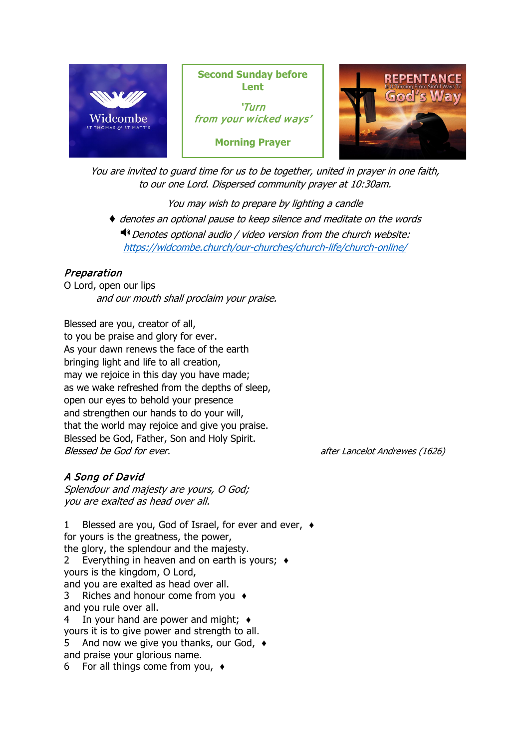

You are invited to guard time for us to be together, united in prayer in one faith, to our one Lord. Dispersed community prayer at 10:30am.

You may wish to prepare by lighting a candle ♦ denotes an optional pause to keep silence and meditate on the words  $\P$ <sup>3</sup> Denotes optional audio / video version from the church website: <https://widcombe.church/our-churches/church-life/church-online/>

# Preparation

O Lord, open our lips and our mouth shall proclaim your praise.

Blessed are you, creator of all, to you be praise and glory for ever. As your dawn renews the face of the earth bringing light and life to all creation, may we rejoice in this day you have made; as we wake refreshed from the depths of sleep, open our eyes to behold your presence and strengthen our hands to do your will, that the world may rejoice and give you praise. Blessed be God, Father, Son and Holy Spirit. Blessed be God for ever. **after Lancelot Andrewes** (1626)

# A Song of David

Splendour and majesty are yours, O God; you are exalted as head over all.

1 Blessed are you, God of Israel, for ever and ever, ♦ for yours is the greatness, the power, the glory, the splendour and the majesty. 2 Everything in heaven and on earth is yours; ♦ yours is the kingdom, O Lord, and you are exalted as head over all. 3 Riches and honour come from you ♦ and you rule over all. 4 In your hand are power and might; ♦ yours it is to give power and strength to all. 5 And now we give you thanks, our God, ♦ and praise your glorious name. 6 For all things come from you, ♦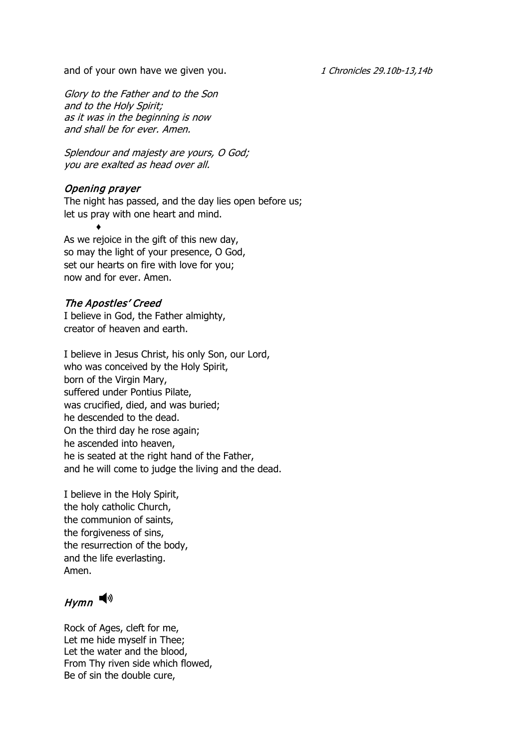and of your own have we given you. 1 Chronicles 29.10b-13,14b

Glory to the Father and to the Son and to the Holy Spirit; as it was in the beginning is now and shall be for ever. Amen.

Splendour and majesty are yours, O God; you are exalted as head over all.

## Opening prayer

♦

The night has passed, and the day lies open before us; let us pray with one heart and mind.

As we rejoice in the gift of this new day, so may the light of your presence, O God, set our hearts on fire with love for you; now and for ever. Amen.

# The Apostles' Creed

I believe in God, the Father almighty, creator of heaven and earth.

I believe in Jesus Christ, his only Son, our Lord, who was conceived by the Holy Spirit, born of the Virgin Mary, suffered under Pontius Pilate, was crucified, died, and was buried; he descended to the dead. On the third day he rose again; he ascended into heaven, he is seated at the right hand of the Father, and he will come to judge the living and the dead.

I believe in the Holy Spirit, the holy catholic Church, the communion of saints, the forgiveness of sins, the resurrection of the body, and the life everlasting. Amen.

# $Hymn$

Rock of Ages, cleft for me, Let me hide myself in Thee; Let the water and the blood, From Thy riven side which flowed, Be of sin the double cure,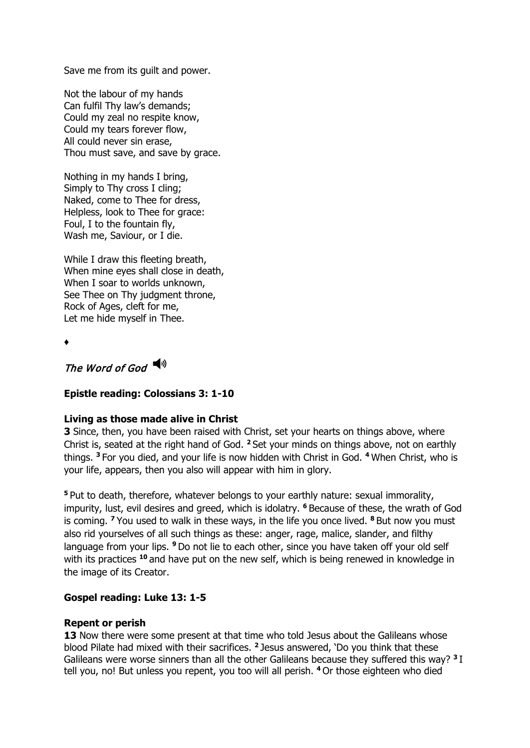Save me from its guilt and power.

Not the labour of my hands Can fulfil Thy law's demands; Could my zeal no respite know, Could my tears forever flow, All could never sin erase, Thou must save, and save by grace.

Nothing in my hands I bring, Simply to Thy cross I cling; Naked, come to Thee for dress, Helpless, look to Thee for grace: Foul, I to the fountain fly, Wash me, Saviour, or I die.

While I draw this fleeting breath, When mine eyes shall close in death, When I soar to worlds unknown, See Thee on Thy judgment throne, Rock of Ages, cleft for me, Let me hide myself in Thee.

♦

# The Word of God  $\blacktriangleleft$ <sup>1)</sup>

#### **Epistle reading: Colossians 3: 1-10**

#### **Living as those made alive in Christ**

**3** Since, then, you have been raised with Christ, set your hearts on things above, where Christ is, seated at the right hand of God. **<sup>2</sup>**Set your minds on things above, not on earthly things. **<sup>3</sup>**For you died, and your life is now hidden with Christ in God. **<sup>4</sup>**When Christ, who is your life, appears, then you also will appear with him in glory.

**<sup>5</sup>**Put to death, therefore, whatever belongs to your earthly nature: sexual immorality, impurity, lust, evil desires and greed, which is idolatry. **<sup>6</sup>**Because of these, the wrath of God is coming. **<sup>7</sup>**You used to walk in these ways, in the life you once lived. **<sup>8</sup>**But now you must also rid yourselves of all such things as these: anger, rage, malice, slander, and filthy language from your lips. **<sup>9</sup>**Do not lie to each other, since you have taken off your old self with its practices <sup>10</sup> and have put on the new self, which is being renewed in knowledge in the image of its Creator.

#### **Gospel reading: Luke 13: 1-5**

#### **Repent or perish**

**13** Now there were some present at that time who told Jesus about the Galileans whose blood Pilate had mixed with their sacrifices. **<sup>2</sup>**Jesus answered, 'Do you think that these Galileans were worse sinners than all the other Galileans because they suffered this way? **<sup>3</sup>**I tell you, no! But unless you repent, you too will all perish. **<sup>4</sup>**Or those eighteen who died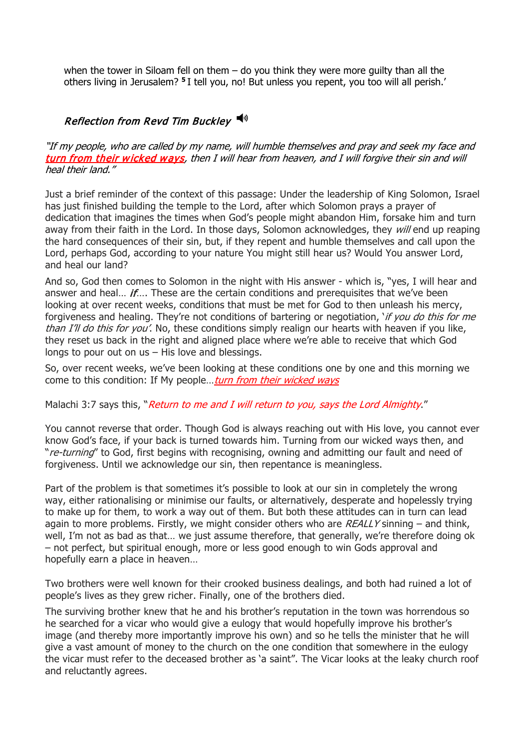when the tower in Siloam fell on them  $-$  do you think they were more guilty than all the others living in Jerusalem? **<sup>5</sup>**I tell you, no! But unless you repent, you too will all perish.'

## Reflection from Revd Tim Buckley  $\blacktriangleleft^{\mathcal{N}}$

"If my people, who are called by my name, will humble themselves and pray and seek my face and turn from their wicked ways, then I will hear from heaven, and I will forgive their sin and will heal their land."

Just a brief reminder of the context of this passage: Under the leadership of King Solomon, Israel has just finished building the temple to the Lord, after which Solomon prays a prayer of dedication that imagines the times when God's people might abandon Him, forsake him and turn away from their faith in the Lord. In those days, Solomon acknowledges, they will end up reaping the hard consequences of their sin, but, if they repent and humble themselves and call upon the Lord, perhaps God, according to your nature You might still hear us? Would You answer Lord, and heal our land?

And so, God then comes to Solomon in the night with His answer - which is, "yes, I will hear and answer and heal... *if...*. These are the certain conditions and prerequisites that we've been looking at over recent weeks, conditions that must be met for God to then unleash his mercy, forgiveness and healing. They're not conditions of bartering or negotiation, *if you do this for me* than I'll do this for you'. No, these conditions simply realign our hearts with heaven if you like, they reset us back in the right and aligned place where we're able to receive that which God longs to pour out on us – His love and blessings.

So, over recent weeks, we've been looking at these conditions one by one and this morning we come to this condition: If My people... turn from their wicked ways

Malachi 3:7 says this, "Return to me and I will return to you, says the Lord Almighty."

You cannot reverse that order. Though God is always reaching out with His love, you cannot ever know God's face, if your back is turned towards him. Turning from our wicked ways then, and "re-turning" to God, first begins with recognising, owning and admitting our fault and need of forgiveness. Until we acknowledge our sin, then repentance is meaningless.

Part of the problem is that sometimes it's possible to look at our sin in completely the wrong way, either rationalising or minimise our faults, or alternatively, desperate and hopelessly trying to make up for them, to work a way out of them. But both these attitudes can in turn can lead again to more problems. Firstly, we might consider others who are  $REALLY$  sinning – and think, well, I'm not as bad as that… we just assume therefore, that generally, we're therefore doing ok – not perfect, but spiritual enough, more or less good enough to win Gods approval and hopefully earn a place in heaven…

Two brothers were well known for their crooked business dealings, and both had ruined a lot of people's lives as they grew richer. Finally, one of the brothers died.

The surviving brother knew that he and his brother's reputation in the town was horrendous so he searched for a vicar who would give a eulogy that would hopefully improve his brother's image (and thereby more importantly improve his own) and so he tells the minister that he will give a vast amount of money to the church on the one condition that somewhere in the eulogy the vicar must refer to the deceased brother as 'a saint". The Vicar looks at the leaky church roof and reluctantly agrees.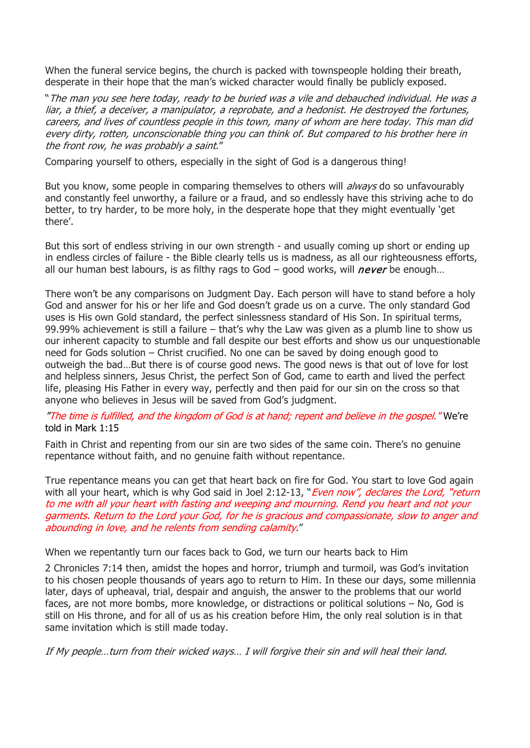When the funeral service begins, the church is packed with townspeople holding their breath, desperate in their hope that the man's wicked character would finally be publicly exposed.

"The man you see here today, ready to be buried was a vile and debauched individual. He was a liar, a thief, a deceiver, a manipulator, a reprobate, and a hedonist. He destroyed the fortunes, careers, and lives of countless people in this town, many of whom are here today. This man did every dirty, rotten, unconscionable thing you can think of. But compared to his brother here in the front row, he was probably a saint."

Comparing yourself to others, especially in the sight of God is a dangerous thing!

But you know, some people in comparing themselves to others will *always* do so unfavourably and constantly feel unworthy, a failure or a fraud, and so endlessly have this striving ache to do better, to try harder, to be more holy, in the desperate hope that they might eventually 'get there'.

But this sort of endless striving in our own strength - and usually coming up short or ending up in endless circles of failure - the Bible clearly tells us is madness, as all our righteousness efforts, all our human best labours, is as filthy rags to God – good works, will *never* be enough...

There won't be any comparisons on Judgment Day. Each person will have to stand before a holy God and answer for his or her life and God doesn't grade us on a curve. The only standard God uses is His own Gold standard, the perfect sinlessness standard of His Son. In spiritual terms, 99.99% achievement is still a failure – that's why the Law was given as a plumb line to show us our inherent capacity to stumble and fall despite our best efforts and show us our unquestionable need for Gods solution – Christ crucified. No one can be saved by doing enough good to outweigh the bad…But there is of course good news. The good news is that out of love for lost and helpless sinners, Jesus Christ, the perfect Son of God, came to earth and lived the perfect life, pleasing His Father in every way, perfectly and then paid for our sin on the cross so that anyone who believes in Jesus will be saved from God's judgment.

"The time is fulfilled, and the kingdom of God is at hand; repent and believe in the gospel." We're told in Mark 1:15

Faith in Christ and repenting from our sin are two sides of the same coin. There's no genuine repentance without faith, and no genuine faith without repentance.

True repentance means you can get that heart back on fire for God. You start to love God again with all your heart, which is why God said in Joel 2:12-13, "*Even now", declares the Lord, "return* to me with all your heart with fasting and weeping and mourning. Rend you heart and not your garments. Return to the Lord your God, for he is gracious and compassionate, slow to anger and abounding in love, and he relents from sending calamity."

When we repentantly turn our faces back to God, we turn our hearts back to Him

2 Chronicles 7:14 then, amidst the hopes and horror, triumph and turmoil, was God's invitation to his chosen people thousands of years ago to return to Him. In these our days, some millennia later, days of upheaval, trial, despair and anguish, the answer to the problems that our world faces, are not more bombs, more knowledge, or distractions or political solutions – No, God is still on His throne, and for all of us as his creation before Him, the only real solution is in that same invitation which is still made today.

If My people…turn from their wicked ways… I will forgive their sin and will heal their land.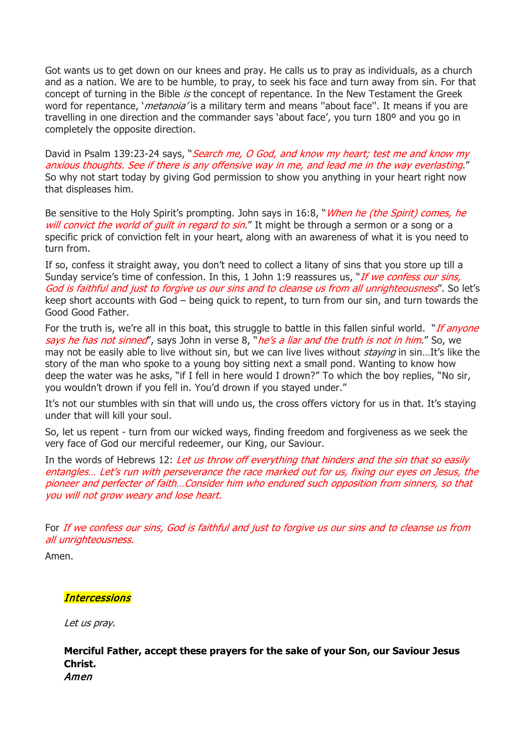Got wants us to get down on our knees and pray. He calls us to pray as individuals, as a church and as a nation. We are to be humble, to pray, to seek his face and turn away from sin. For that concept of turning in the Bible is the concept of repentance. In the New Testament the Greek word for repentance, '*metanoia'* is a military term and means "about face". It means if you are travelling in one direction and the commander says 'about face', you turn 180º and you go in completely the opposite direction.

David in Psalm 139:23-24 says, "Search me, O God, and know my heart; test me and know my anxious thoughts. See if there is any offensive way in me, and lead me in the way everlasting." So why not start today by giving God permission to show you anything in your heart right now that displeases him.

Be sensitive to the Holy Spirit's prompting. John says in 16:8, "When he (the Spirit) comes, he will convict the world of guilt in regard to sin." It might be through a sermon or a song or a specific prick of conviction felt in your heart, along with an awareness of what it is you need to turn from.

If so, confess it straight away, you don't need to collect a litany of sins that you store up till a Sunday service's time of confession. In this, 1 John 1:9 reassures us, "*If we confess our sins*, God is faithful and just to forgive us our sins and to cleanse us from all unrighteousness". So let's keep short accounts with God – being quick to repent, to turn from our sin, and turn towards the Good Good Father.

For the truth is, we're all in this boat, this struggle to battle in this fallen sinful world. "*If anyone* says he has not sinned', says John in verse 8, "he's a liar and the truth is not in him." So, we may not be easily able to live without sin, but we can live lives without *staying* in sin...It's like the story of the man who spoke to a young boy sitting next a small pond. Wanting to know how deep the water was he asks, "if I fell in here would I drown?" To which the boy replies, "No sir, you wouldn't drown if you fell in. You'd drown if you stayed under."

It's not our stumbles with sin that will undo us, the cross offers victory for us in that. It's staying under that will kill your soul.

So, let us repent - turn from our wicked ways, finding freedom and forgiveness as we seek the very face of God our merciful redeemer, our King, our Saviour.

In the words of Hebrews 12: Let us throw off everything that hinders and the sin that so easily entangles… Let's run with perseverance the race marked out for us, fixing our eyes on Jesus, the pioneer and perfecter of faith…Consider him who endured such opposition from sinners, so that you will not grow weary and lose heart.

For If we confess our sins, God is faithful and just to forgive us our sins and to cleanse us from all unrighteousness.

Amen.

## **Intercessions**

Let us pray.

**Merciful Father, accept these prayers for the sake of your Son, our Saviour Jesus Christ.**  Amen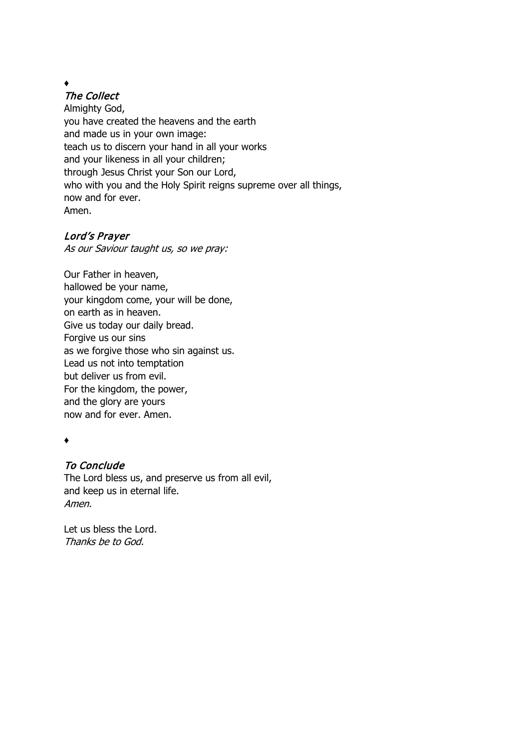# ♦

The Collect

Almighty God, you have created the heavens and the earth and made us in your own image: teach us to discern your hand in all your works and your likeness in all your children; through Jesus Christ your Son our Lord, who with you and the Holy Spirit reigns supreme over all things, now and for ever. Amen.

## Lord's Prayer

As our Saviour taught us, so we pray:

Our Father in heaven, hallowed be your name, your kingdom come, your will be done, on earth as in heaven. Give us today our daily bread. Forgive us our sins as we forgive those who sin against us. Lead us not into temptation but deliver us from evil. For the kingdom, the power, and the glory are yours now and for ever. Amen.

♦

## To Conclude

The Lord bless us, and preserve us from all evil, and keep us in eternal life. Amen.

Let us bless the Lord. Thanks be to God.